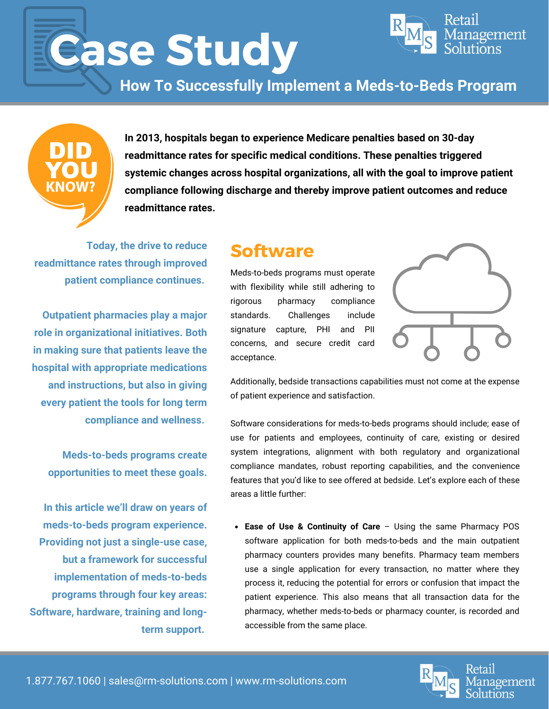# **Case Study**



**How To Successfully Implement a Meds-to-Beds Program**



**In 2013, hospitals began to experience Medicare penalties based on 30-day readmittance rates for specific medical conditions. These penalties triggered systemic changes across hospital organizations, all with the goal to improve patient compliance following discharge and thereby improve patient outcomes and reduce readmittance rates.**

**Today, the drive to reduce readmittance rates through improved patient compliance continues.**

**Outpatient pharmacies play a major role in organizational initiatives. Both in making sure that patients leave the hospital with appropriate medications and instructions, but also in giving every patient the tools for long term compliance and wellness.**

**Meds-to-beds programs create opportunities to meet these goals.**

**In this article we'll draw on years of meds-to-beds program experience. Providing not just a single-use case, but a framework for successful implementation of meds-to-beds programs through four key areas: Software, hardware, training and longterm support.**

# **Software**

Meds-to-beds programs must operate with flexibility while still adhering to rigorous pharmacy compliance standards. Challenges include signature capture, PHI and PII concerns, and secure credit card acceptance.



Additionally, bedside transactions capabilities must not come at the expense of patient experience and satisfaction.

Software considerations for meds-to-beds programs should include; ease of use for patients and employees, continuity of care, existing or desired system integrations, alignment with both regulatory and organizational compliance mandates, robust reporting capabilities, and the convenience features that you'd like to see offered at bedside. Let's explore each of these areas a little further:

**Ease of Use & Continuity of Care** – Using the same Pharmacy POS software application for both meds-to-beds and the main outpatient pharmacy counters provides many benefits. Pharmacy team members use a single application for every transaction, no matter where they process it, reducing the potential for errors or confusion that impact the patient experience. This also means that all transaction data for the pharmacy, whether meds-to-beds or pharmacy counter, is recorded and accessible from the same place.

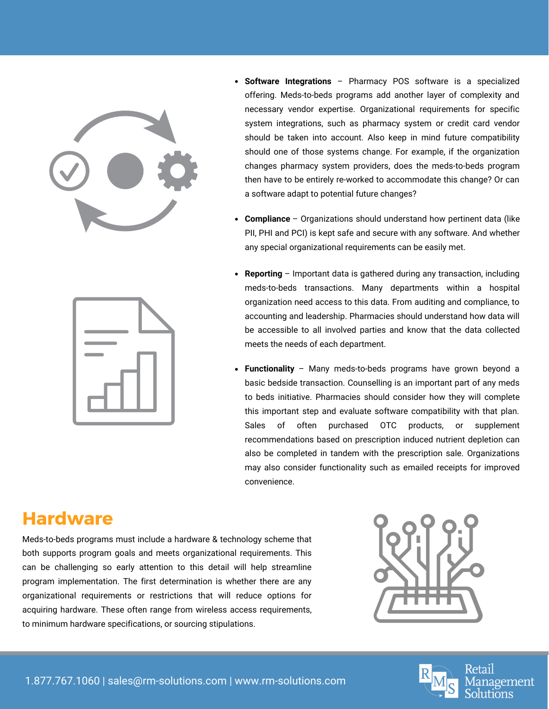



- **Software Integrations** Pharmacy POS software is a specialized offering. Meds-to-beds programs add another layer of complexity and necessary vendor expertise. Organizational requirements for specific system integrations, such as pharmacy system or credit card vendor should be taken into account. Also keep in mind future compatibility should one of those systems change. For example, if the organization changes pharmacy system providers, does the meds-to-beds program then have to be entirely re-worked to accommodate this change? Or can a software adapt to potential future changes?
- **Compliance** Organizations should understand how pertinent data (like PII, PHI and PCI) is kept safe and secure with any software. And whether any special organizational requirements can be easily met.
- **Reporting** Important data is gathered during any transaction, including meds-to-beds transactions. Many departments within a hospital organization need access to this data. From auditing and compliance, to accounting and leadership. Pharmacies should understand how data will be accessible to all involved parties and know that the data collected meets the needs of each department.
- **Functionality** Many meds-to-beds programs have grown beyond a basic bedside transaction. Counselling is an important part of any meds to beds initiative. Pharmacies should consider how they will complete this important step and evaluate software compatibility with that plan. Sales of often purchased OTC products, or supplement recommendations based on prescription induced nutrient depletion can also be completed in tandem with the prescription sale. Organizations may also consider functionality such as emailed receipts for improved convenience.

## **Hardware**

Meds-to-beds programs must include a hardware & technology scheme that both supports program goals and meets organizational requirements. This can be challenging so early attention to this detail will help streamline program implementation. The first determination is whether there are any organizational requirements or restrictions that will reduce options for acquiring hardware. These often range from wireless access requirements, to minimum hardware specifications, or sourcing stipulations.



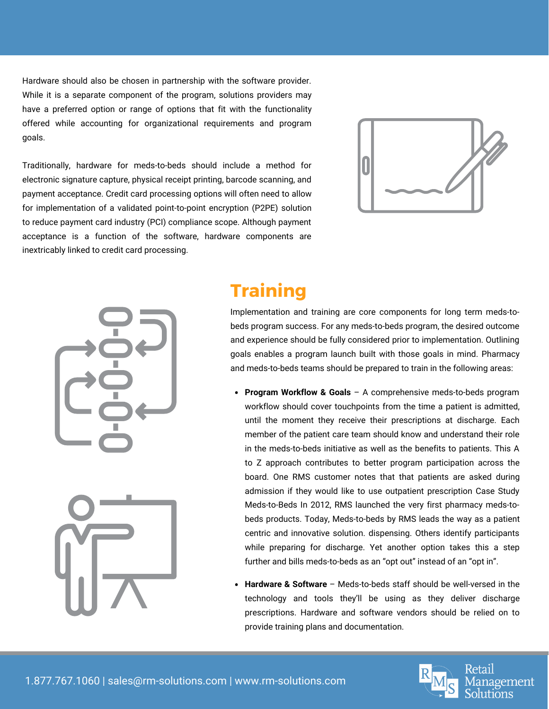Hardware should also be chosen in partnership with the software provider. While it is a separate component of the program, solutions providers may have a preferred option or range of options that fit with the functionality offered while accounting for organizational requirements and program goals.

Traditionally, hardware for meds-to-beds should include a method for electronic signature capture, physical receipt printing, barcode scanning, and payment acceptance. Credit card processing options will often need to allow for implementation of a validated point-to-point encryption (P2PE) solution to reduce payment card industry (PCI) compliance scope. Although payment acceptance is a function of the software, hardware components are inextricably linked to credit card processing.







# **Training**

Implementation and training are core components for long term meds-tobeds program success. For any meds-to-beds program, the desired outcome and experience should be fully considered prior to implementation. Outlining goals enables a program launch built with those goals in mind. Pharmacy and meds-to-beds teams should be prepared to train in the following areas:

- **Program Workflow & Goals** A comprehensive meds-to-beds program workflow should cover touchpoints from the time a patient is admitted, until the moment they receive their prescriptions at discharge. Each member of the patient care team should know and understand their role in the meds-to-beds initiative as well as the benefits to patients. This A to Z approach contributes to better program participation across the board. One RMS customer notes that that patients are asked during admission if they would like to use outpatient prescription Case Study Meds-to-Beds In 2012, RMS launched the very first pharmacy meds-tobeds products. Today, Meds-to-beds by RMS leads the way as a patient centric and innovative solution. dispensing. Others identify participants while preparing for discharge. Yet another option takes this a step further and bills meds-to-beds as an "opt out" instead of an "opt in".
- **Hardware & Software** Meds-to-beds staff should be well-versed in the technology and tools they'll be using as they deliver discharge prescriptions. Hardware and software vendors should be relied on to provide training plans and documentation.